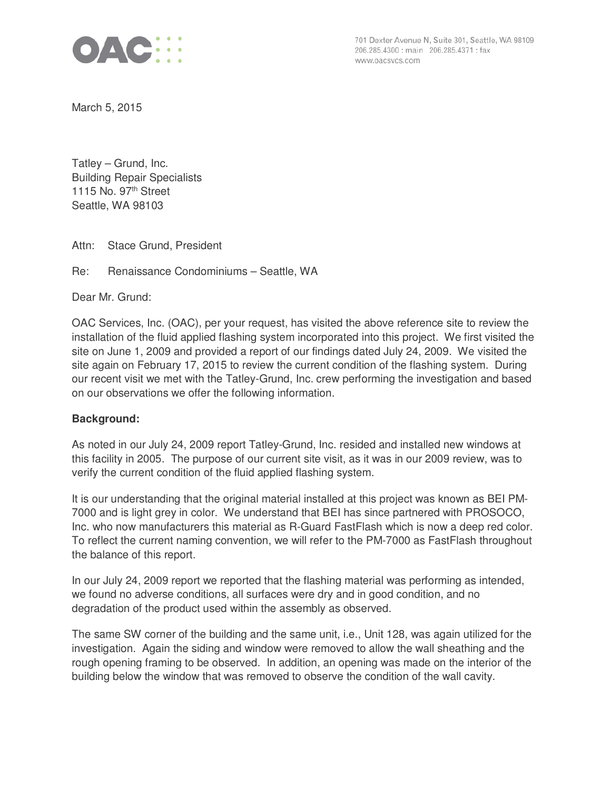

701 Dexter Avenue N, Suite 301, Seattle, WA 98109 206.285.4300 : main 206.285.4371 : fax www.oacsvcs.com

March 5, 2015

Tatley – Grund, Inc. Building Repair Specialists 1115 No.  $97<sup>th</sup>$  Street Seattle, WA 98103

Attn: Stace Grund, President

Re: Renaissance Condominiums – Seattle, WA

Dear Mr. Grund:

OAC Services, Inc. (OAC), per your request, has visited the above reference site to review the installation of the fluid applied flashing system incorporated into this project. We first visited the site on June 1, 2009 and provided a report of our findings dated July 24, 2009. We visited the site again on February 17, 2015 to review the current condition of the flashing system. During our recent visit we met with the Tatley-Grund, Inc. crew performing the investigation and based on our observations we offer the following information.

# **Background:**

As noted in our July 24, 2009 report Tatley-Grund, Inc. resided and installed new windows at this facility in 2005. The purpose of our current site visit, as it was in our 2009 review, was to verify the current condition of the fluid applied flashing system.

It is our understanding that the original material installed at this project was known as BEI PM-7000 and is light grey in color. We understand that BEI has since partnered with PROSOCO, Inc. who now manufacturers this material as R-Guard FastFlash which is now a deep red color. To reflect the current naming convention, we will refer to the PM-7000 as FastFlash throughout the balance of this report.

In our July 24, 2009 report we reported that the flashing material was performing as intended, we found no adverse conditions, all surfaces were dry and in good condition, and no degradation of the product used within the assembly as observed.

The same SW corner of the building and the same unit, i.e., Unit 128, was again utilized for the investigation. Again the siding and window were removed to allow the wall sheathing and the rough opening framing to be observed. In addition, an opening was made on the interior of the building below the window that was removed to observe the condition of the wall cavity.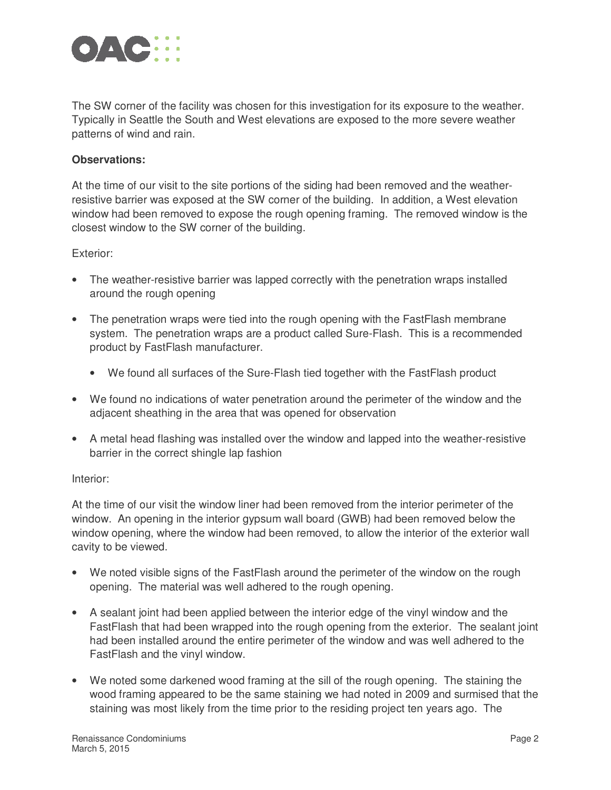

The SW corner of the facility was chosen for this investigation for its exposure to the weather. Typically in Seattle the South and West elevations are exposed to the more severe weather patterns of wind and rain.

# **Observations:**

At the time of our visit to the site portions of the siding had been removed and the weatherresistive barrier was exposed at the SW corner of the building. In addition, a West elevation window had been removed to expose the rough opening framing. The removed window is the closest window to the SW corner of the building.

### Exterior:

- The weather-resistive barrier was lapped correctly with the penetration wraps installed around the rough opening
- The penetration wraps were tied into the rough opening with the FastFlash membrane system. The penetration wraps are a product called Sure-Flash. This is a recommended product by FastFlash manufacturer.
	- We found all surfaces of the Sure-Flash tied together with the FastFlash product
- We found no indications of water penetration around the perimeter of the window and the adjacent sheathing in the area that was opened for observation
- A metal head flashing was installed over the window and lapped into the weather-resistive barrier in the correct shingle lap fashion

### Interior:

At the time of our visit the window liner had been removed from the interior perimeter of the window. An opening in the interior gypsum wall board (GWB) had been removed below the window opening, where the window had been removed, to allow the interior of the exterior wall cavity to be viewed.

- We noted visible signs of the FastFlash around the perimeter of the window on the rough opening. The material was well adhered to the rough opening.
- A sealant joint had been applied between the interior edge of the vinyl window and the FastFlash that had been wrapped into the rough opening from the exterior. The sealant joint had been installed around the entire perimeter of the window and was well adhered to the FastFlash and the vinyl window.
- We noted some darkened wood framing at the sill of the rough opening. The staining the wood framing appeared to be the same staining we had noted in 2009 and surmised that the staining was most likely from the time prior to the residing project ten years ago. The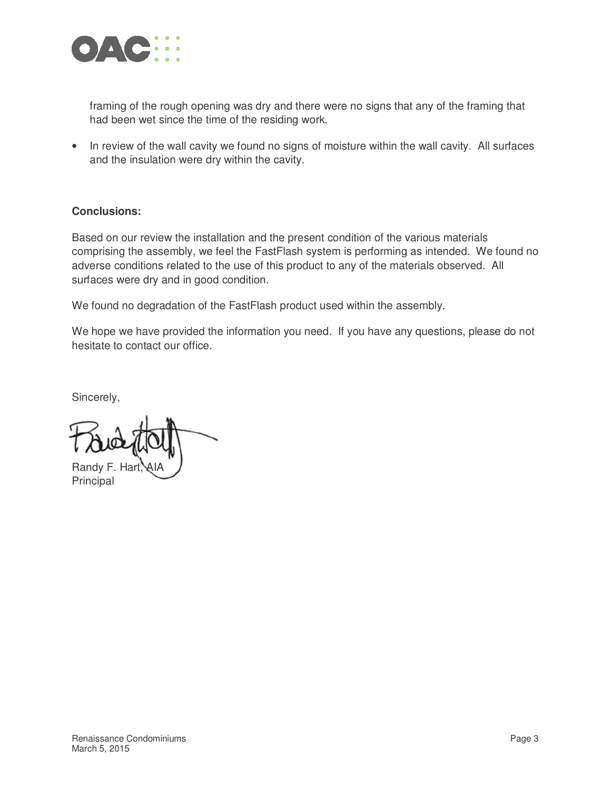

framing of the rough opening was dry and there were no signs that any of the framing that had been wet since the time of the residing work.

• In review of the wall cavity we found no signs of moisture within the wall cavity. All surfaces and the insulation were dry within the cavity.

# **Conclusions:**

Based on our review the installation and the present condition of the various materials comprising the assembly, we feel the FastFlash system is performing as intended. We found no adverse conditions related to the use of this product to any of the materials observed. All surfaces were dry and in good condition.

We found no degradation of the FastFlash product used within the assembly.

We hope we have provided the information you need. If you have any questions, please do not hesitate to contact our office.

Sincerely,

Randy F. Hart

Principal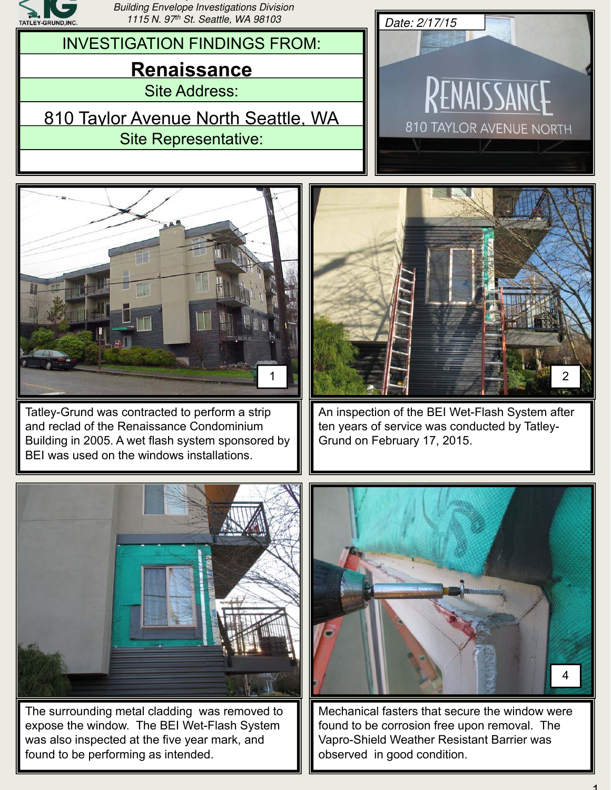

*y , Building Envelope Investigations Division 1115 N. 97th St. Seattle, WA 98103 Date: 2/17/15*

Site Address: INVESTIGATION FINDINGS FROM: **Renaissance** 810 Taylor Avenue North Seattle, WA

Site Representative:





Tatley-Grund was contracted to perform a strip and reclad of the Renaissance Condominium Building in 2005. A wet flash system sponsored by BEI was used on the windows installations.



An inspection of the BEI Wet-Flash System after ten years of service was conducted by Tatley-Grund on February 17, 2015.



The surrounding metal cladding was removed to expose the window. The BEI Wet-Flash System was also inspected at the five year mark, and found to be performing as intended.



Mechanical fasters that secure the window were found to be corrosion free upon removal. The Vapro-Shield Weather Resistant Barrier was observed in good condition.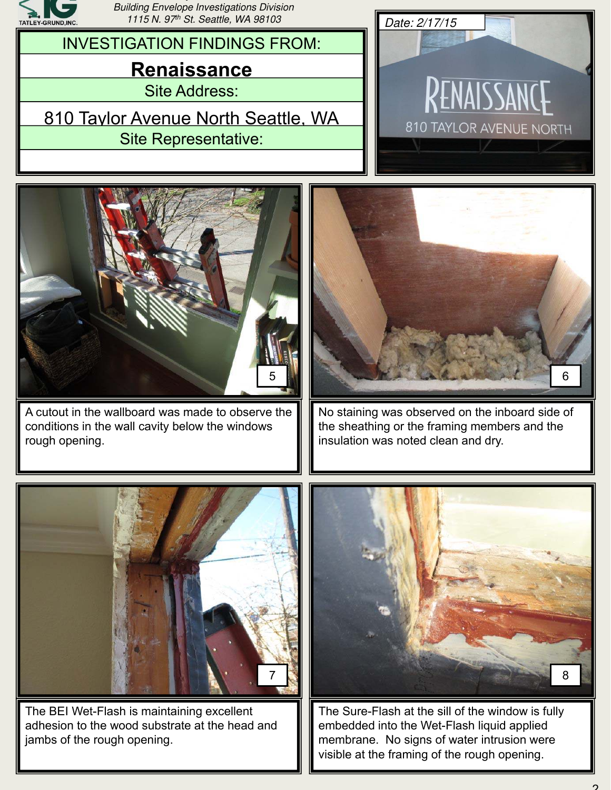

*y , Building Envelope Investigations Division 1115 N. 97th St. Seattle, WA 98103 Date: 2/17/15*

INVESTIGATION FINDINGS FROM:

# **Renaissance**

Site Address:

810 Taylor Avenue North Seattle, WA Site Representative:





A cutout in the wallboard was made to observe the conditions in the wall cavity below the windows rough opening.



No staining was observed on the inboard side of the sheathing or the framing members and the insulation was noted clean and dry.



The BEI Wet-Flash is maintaining excellent adhesion to the wood substrate at the head and jambs of the rough opening.



The Sure-Flash at the sill of the window is fully embedded into the Wet-Flash liquid applied membrane. No signs of water intrusion were visible at the framing of the rough opening.